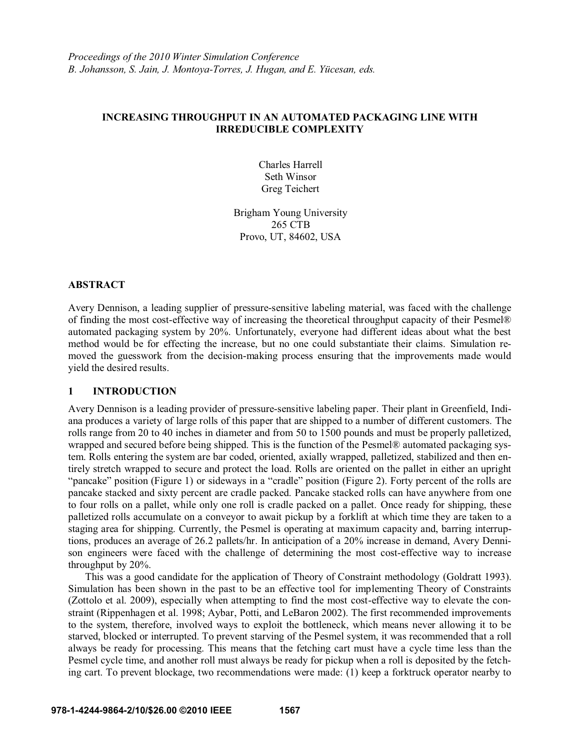# **INCREASING THROUGHPUT IN AN AUTOMATED PACKAGING LINE WITH IRREDUCIBLE COMPLEXITY**

Charles Harrell Seth Winsor Greg Teichert

Brigham Young University 265 CTB Provo, UT, 84602, USA

#### **ABSTRACT**

Avery Dennison, a leading supplier of pressure-sensitive labeling material, was faced with the challenge of finding the most cost-effective way of increasing the theoretical throughput capacity of their Pesmel® automated packaging system by 20%. Unfortunately, everyone had different ideas about what the best method would be for effecting the increase, but no one could substantiate their claims. Simulation removed the guesswork from the decision-making process ensuring that the improvements made would yield the desired results.

## **1 INTRODUCTION**

Avery Dennison is a leading provider of pressure-sensitive labeling paper. Their plant in Greenfield, Indiana produces a variety of large rolls of this paper that are shipped to a number of different customers. The rolls range from 20 to 40 inches in diameter and from 50 to 1500 pounds and must be properly palletized, wrapped and secured before being shipped. This is the function of the Pesmel® automated packaging system. Rolls entering the system are bar coded, oriented, axially wrapped, palletized, stabilized and then entirely stretch wrapped to secure and protect the load. Rolls are oriented on the pallet in either an upright "pancake" position (Figure 1) or sideways in a "cradle" position (Figure 2). Forty percent of the rolls are pancake stacked and sixty percent are cradle packed. Pancake stacked rolls can have anywhere from one to four rolls on a pallet, while only one roll is cradle packed on a pallet. Once ready for shipping, these palletized rolls accumulate on a conveyor to await pickup by a forklift at which time they are taken to a staging area for shipping. Currently, the Pesmel is operating at maximum capacity and, barring interruptions, produces an average of 26.2 pallets/hr. In anticipation of a 20% increase in demand, Avery Dennison engineers were faced with the challenge of determining the most cost-effective way to increase throughput by 20%.

This was a good candidate for the application of Theory of Constraint methodology (Goldratt 1993). Simulation has been shown in the past to be an effective tool for implementing Theory of Constraints (Zottolo et al. 2009), especially when attempting to find the most cost-effective way to elevate the constraint (Rippenhagen et al. 1998; Aybar, Potti, and LeBaron 2002). The first recommended improvements to the system, therefore, involved ways to exploit the bottleneck, which means never allowing it to be starved, blocked or interrupted. To prevent starving of the Pesmel system, it was recommended that a roll always be ready for processing. This means that the fetching cart must have a cycle time less than the Pesmel cycle time, and another roll must always be ready for pickup when a roll is deposited by the fetching cart. To prevent blockage, two recommendations were made: (1) keep a forktruck operator nearby to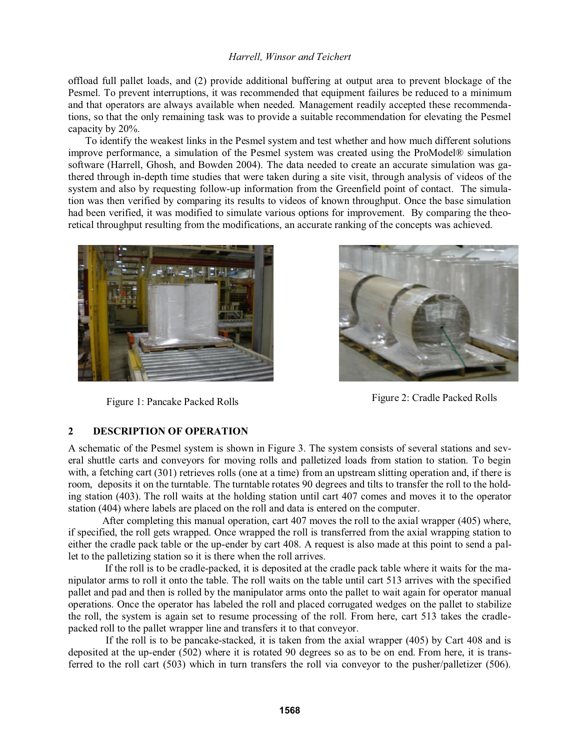offload full pallet loads, and (2) provide additional buffering at output area to prevent blockage of the Pesmel. To prevent interruptions, it was recommended that equipment failures be reduced to a minimum and that operators are always available when needed. Management readily accepted these recommendations, so that the only remaining task was to provide a suitable recommendation for elevating the Pesmel capacity by 20%.

To identify the weakest links in the Pesmel system and test whether and how much different solutions improve performance, a simulation of the Pesmel system was created using the ProModel® simulation software (Harrell, Ghosh, and Bowden 2004). The data needed to create an accurate simulation was gathered through in-depth time studies that were taken during a site visit, through analysis of videos of the system and also by requesting follow-up information from the Greenfield point of contact. The simulation was then verified by comparing its results to videos of known throughput. Once the base simulation had been verified, it was modified to simulate various options for improvement. By comparing the theoretical throughput resulting from the modifications, an accurate ranking of the concepts was achieved.





Figure 1: Pancake Packed Rolls Figure 2: Cradle Packed Rolls

## **2 DESCRIPTION OF OPERATION**

A schematic of the Pesmel system is shown in Figure 3. The system consists of several stations and several shuttle carts and conveyors for moving rolls and palletized loads from station to station. To begin with, a fetching cart (301) retrieves rolls (one at a time) from an upstream slitting operation and, if there is room, deposits it on the turntable. The turntable rotates 90 degrees and tilts to transfer the roll to the holding station (403). The roll waits at the holding station until cart 407 comes and moves it to the operator station (404) where labels are placed on the roll and data is entered on the computer.

 After completing this manual operation, cart 407 moves the roll to the axial wrapper (405) where, if specified, the roll gets wrapped. Once wrapped the roll is transferred from the axial wrapping station to either the cradle pack table or the up-ender by cart 408. A request is also made at this point to send a pallet to the palletizing station so it is there when the roll arrives.

 If the roll is to be cradle-packed, it is deposited at the cradle pack table where it waits for the manipulator arms to roll it onto the table. The roll waits on the table until cart 513 arrives with the specified pallet and pad and then is rolled by the manipulator arms onto the pallet to wait again for operator manual operations. Once the operator has labeled the roll and placed corrugated wedges on the pallet to stabilize the roll, the system is again set to resume processing of the roll. From here, cart 513 takes the cradlepacked roll to the pallet wrapper line and transfers it to that conveyor.

 If the roll is to be pancake-stacked, it is taken from the axial wrapper (405) by Cart 408 and is deposited at the up-ender  $(502)$  where it is rotated 90 degrees so as to be on end. From here, it is transferred to the roll cart (503) which in turn transfers the roll via conveyor to the pusher/palletizer (506).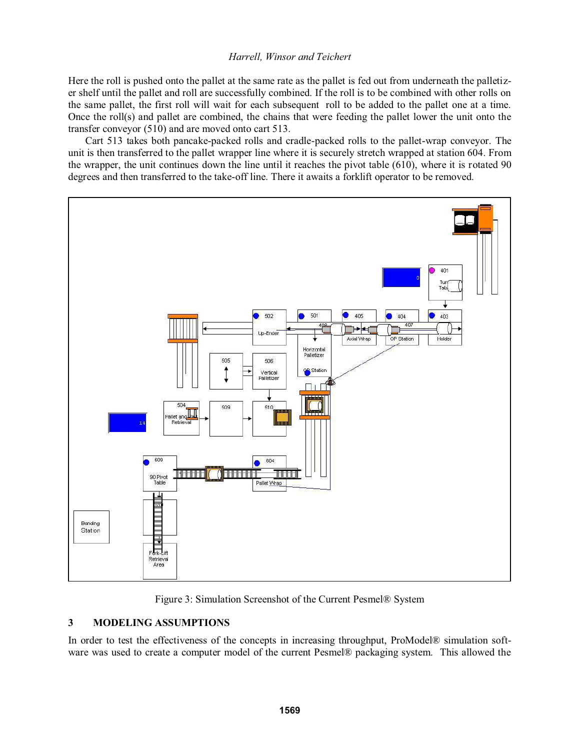Here the roll is pushed onto the pallet at the same rate as the pallet is fed out from underneath the palletizer shelf until the pallet and roll are successfully combined. If the roll is to be combined with other rolls on the same pallet, the first roll will wait for each subsequent roll to be added to the pallet one at a time. Once the roll(s) and pallet are combined, the chains that were feeding the pallet lower the unit onto the transfer conveyor (510) and are moved onto cart 513.

 Cart 513 takes both pancake-packed rolls and cradle-packed rolls to the pallet-wrap conveyor. The unit is then transferred to the pallet wrapper line where it is securely stretch wrapped at station 604. From the wrapper, the unit continues down the line until it reaches the pivot table (610), where it is rotated 90 degrees and then transferred to the take-off line. There it awaits a forklift operator to be removed.



Figure 3: Simulation Screenshot of the Current Pesmel® System

# **3 MODELING ASSUMPTIONS**

In order to test the effectiveness of the concepts in increasing throughput, ProModel® simulation software was used to create a computer model of the current Pesmel® packaging system. This allowed the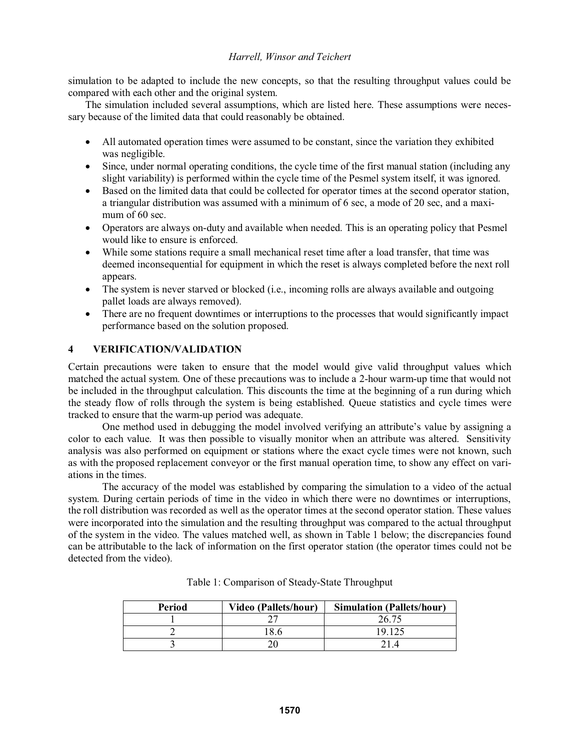simulation to be adapted to include the new concepts, so that the resulting throughput values could be compared with each other and the original system.

The simulation included several assumptions, which are listed here. These assumptions were necessary because of the limited data that could reasonably be obtained.

- All automated operation times were assumed to be constant, since the variation they exhibited was negligible.
- Since, under normal operating conditions, the cycle time of the first manual station (including any slight variability) is performed within the cycle time of the Pesmel system itself, it was ignored.
- Based on the limited data that could be collected for operator times at the second operator station, a triangular distribution was assumed with a minimum of 6 sec, a mode of 20 sec, and a maximum of 60 sec.
- Operators are always on-duty and available when needed. This is an operating policy that Pesmel would like to ensure is enforced.
- While some stations require a small mechanical reset time after a load transfer, that time was deemed inconsequential for equipment in which the reset is always completed before the next roll appears.
- The system is never starved or blocked (i.e., incoming rolls are always available and outgoing pallet loads are always removed).
- There are no frequent downtimes or interruptions to the processes that would significantly impact performance based on the solution proposed.

# **4 VERIFICATION/VALIDATION**

Certain precautions were taken to ensure that the model would give valid throughput values which matched the actual system. One of these precautions was to include a 2-hour warm-up time that would not be included in the throughput calculation. This discounts the time at the beginning of a run during which the steady flow of rolls through the system is being established. Queue statistics and cycle times were tracked to ensure that the warm-up period was adequate.

One method used in debugging the model involved verifying an attribute's value by assigning a color to each value. It was then possible to visually monitor when an attribute was altered. Sensitivity analysis was also performed on equipment or stations where the exact cycle times were not known, such as with the proposed replacement conveyor or the first manual operation time, to show any effect on variations in the times.

The accuracy of the model was established by comparing the simulation to a video of the actual system. During certain periods of time in the video in which there were no downtimes or interruptions, the roll distribution was recorded as well as the operator times at the second operator station. These values were incorporated into the simulation and the resulting throughput was compared to the actual throughput of the system in the video. The values matched well, as shown in Table 1 below; the discrepancies found can be attributable to the lack of information on the first operator station (the operator times could not be detected from the video).

| Period | <b>Video (Pallets/hour)</b> | <b>Simulation (Pallets/hour)</b> |
|--------|-----------------------------|----------------------------------|
|        |                             | 26.75                            |
|        | 186                         | 19.125                           |
|        |                             |                                  |

Table 1: Comparison of Steady-State Throughput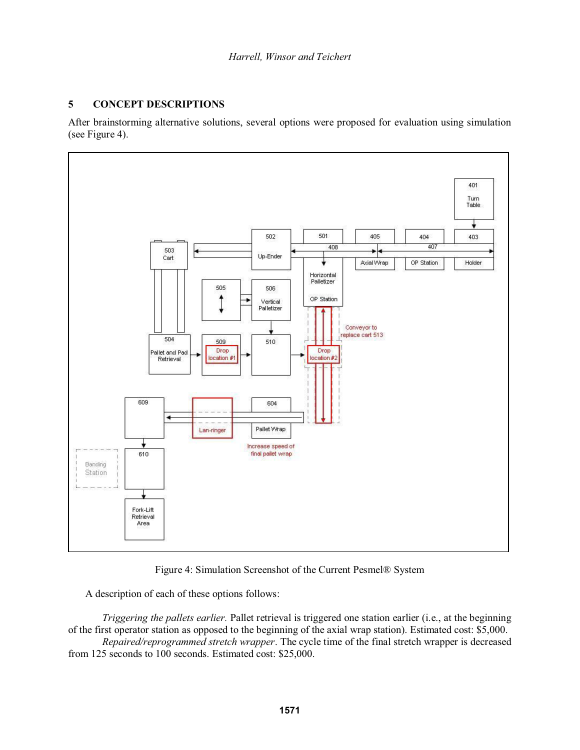# **5 CONCEPT DESCRIPTIONS**

After brainstorming alternative solutions, several options were proposed for evaluation using simulation (see Figure 4).



Figure 4: Simulation Screenshot of the Current Pesmel® System

A description of each of these options follows:

*Triggering the pallets earlier.* Pallet retrieval is triggered one station earlier (i.e., at the beginning of the first operator station as opposed to the beginning of the axial wrap station). Estimated cost: \$5,000.

*Repaired/reprogrammed stretch wrapper*. The cycle time of the final stretch wrapper is decreased from 125 seconds to 100 seconds. Estimated cost: \$25,000.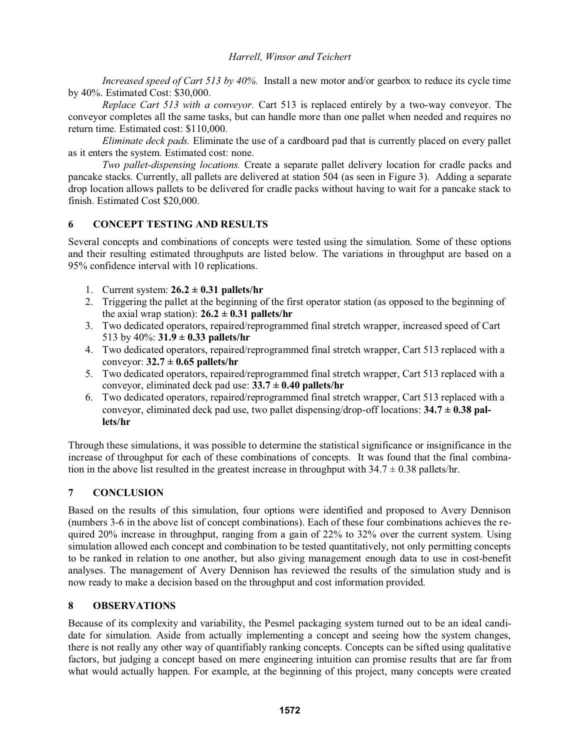*Increased speed of Cart 513 by 40%.* Install a new motor and/or gearbox to reduce its cycle time by 40%. Estimated Cost: \$30,000.

*Replace Cart 513 with a conveyor.* Cart 513 is replaced entirely by a two-way conveyor. The conveyor completes all the same tasks, but can handle more than one pallet when needed and requires no return time. Estimated cost: \$110,000.

*Eliminate deck pads.* Eliminate the use of a cardboard pad that is currently placed on every pallet as it enters the system. Estimated cost: none.

*Two pallet-dispensing locations.* Create a separate pallet delivery location for cradle packs and pancake stacks. Currently, all pallets are delivered at station 504 (as seen in Figure 3). Adding a separate drop location allows pallets to be delivered for cradle packs without having to wait for a pancake stack to finish. Estimated Cost \$20,000.

# **6 CONCEPT TESTING AND RESULTS**

Several concepts and combinations of concepts were tested using the simulation. Some of these options and their resulting estimated throughputs are listed below. The variations in throughput are based on a 95% confidence interval with 10 replications.

- 1. Current system:  $26.2 \pm 0.31$  pallets/hr
- 2. Triggering the pallet at the beginning of the first operator station (as opposed to the beginning of the axial wrap station):  $26.2 \pm 0.31$  pallets/hr
- 3. Two dedicated operators, repaired/reprogrammed final stretch wrapper, increased speed of Cart 513 by 40%: **31.9 ± 0.33 pallets/hr**
- 4. Two dedicated operators, repaired/reprogrammed final stretch wrapper, Cart 513 replaced with a conveyor: **32.7 ± 0.65 pallets/hr**
- 5. Two dedicated operators, repaired/reprogrammed final stretch wrapper, Cart 513 replaced with a conveyor, eliminated deck pad use: **33.7 ± 0.40 pallets/hr**
- 6. Two dedicated operators, repaired/reprogrammed final stretch wrapper, Cart 513 replaced with a conveyor, eliminated deck pad use, two pallet dispensing/drop-off locations: **34.7 ± 0.38 pallets/hr**

Through these simulations, it was possible to determine the statistical significance or insignificance in the increase of throughput for each of these combinations of concepts. It was found that the final combination in the above list resulted in the greatest increase in throughput with  $34.7 \pm 0.38$  pallets/hr.

# **7 CONCLUSION**

Based on the results of this simulation, four options were identified and proposed to Avery Dennison (numbers 3-6 in the above list of concept combinations). Each of these four combinations achieves the required 20% increase in throughput, ranging from a gain of 22% to 32% over the current system. Using simulation allowed each concept and combination to be tested quantitatively, not only permitting concepts to be ranked in relation to one another, but also giving management enough data to use in cost-benefit analyses. The management of Avery Dennison has reviewed the results of the simulation study and is now ready to make a decision based on the throughput and cost information provided.

# **8 OBSERVATIONS**

Because of its complexity and variability, the Pesmel packaging system turned out to be an ideal candidate for simulation. Aside from actually implementing a concept and seeing how the system changes, there is not really any other way of quantifiably ranking concepts. Concepts can be sifted using qualitative factors, but judging a concept based on mere engineering intuition can promise results that are far from what would actually happen. For example, at the beginning of this project, many concepts were created